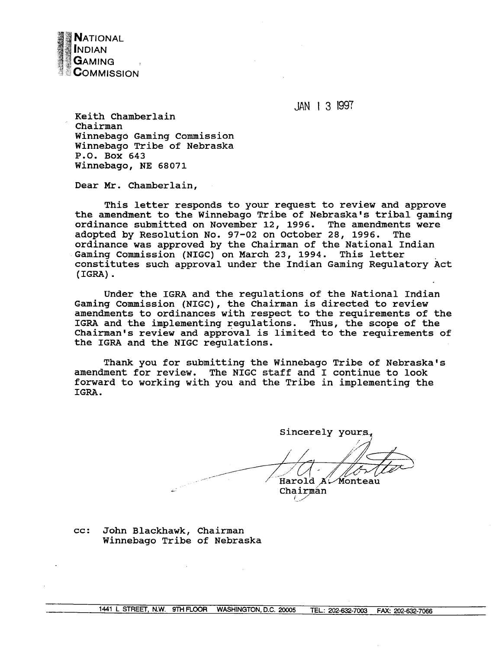

JAN 131997

Keith Chamberlain Chairman Winnebago Gaming Commission Winnebago Tribe of Nebraska P.O. Box 643 Winnebago, NE 68071

Dear Mr. Chamberlain,

This letter responds to your request to review and approve the amendment to the Winnebago Tribe of Nebraska's tribal gaming ordinance submitted on November 12, 1996. The amendments were adopted by Resolution No. 97-02 on October 28, 1996. **The** ordinance was approved by the Chairman of the National Indian Gaming Commission (NIGC) on March 23, 1994. This letter constitutes such approval under the Indian Gaming Regulatory Act  $(IGRA)$ .

Under the IGRA and the regulations of the National Indian Gaming Commission (NIGC), the Chairman is directed to review amendments to ordinances with respect to the requirements of the IGRA and the implementing regulations. Thus, the scope of the Chairman's review and approval is limited to the requirements of the IGRA and the NIGC regulations.

Thank you for submitting the Winnebago Tribe of Nebraska's amendment for review. The NIGC staff and I continue to look forward to working with you and the Tribe in implementing the IGRA.

Sincerely yours, Harold A Monteau

Chairman

 $cc:$ John Blackhawk, Chairman Winnebago Tribe of Nebraska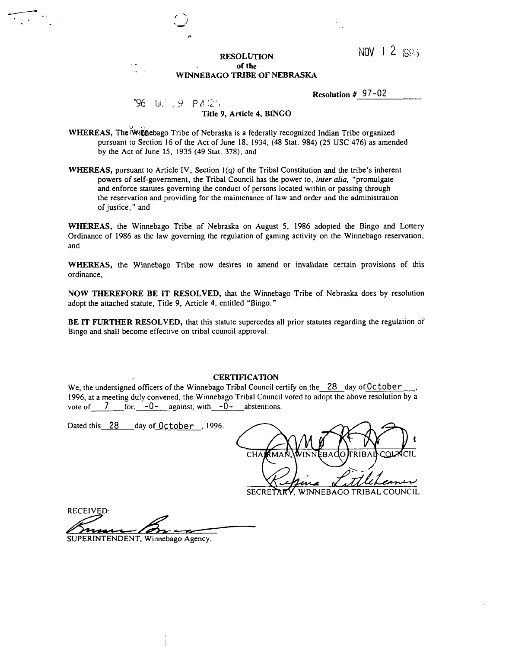**RESOLUTION NOV 1 2 ISOS** 

# **of the WINNEBAGO TRIBE OF NEBRASKA**

**Resolution # <sup>9</sup> 7-02**

**96 1j~: .9 P~i :~**

**<sup>S</sup> ) p**

#### **Title 9, Article 4, BINGO**

**WHEREAS, The~Wi~ebago Tribe of Nebraska is <sup>a</sup> federally recognized Indian Tribe organized pursuant to Section <sup>16</sup> of the Act of June 18, 1934, (48 Stat. 984) (25 USC 476) as amended by the Act of June 15, 1935 (49 Stat. 378), and**

**WHEREAS, pursuant to Article IV, Section 1(q) of the Tribal Constitution and the tribes inherent powers of self-government, the Tribal Council has the power to, inter alia, promulgate and enforce statutes governing the conduct of persons located within or passing through the reservation and providing for the maintenance of law and order and the administration of justice, and**

**WHEREAS, the Winnebago Tribe of Nebraska on August 5, <sup>1986</sup> adopted the Bingo and Lottery Ordinance of 1986 as the law governing the regulation of gaming activity on the Winnebago reservation, and**

**WHEREAS, the Winnebago Tribe now desires to amend or invalidate certain provisions of this ordinance,**

**NOW 1IIEREFORE BE IT RESOLVED, that the Winnebago Tribe of Nebraska does by resolution adopt the attached statute, Title 9, Article 4, entitled Bingo.**

**BE IT FURTHER RESOLVED, that this statute supercedes all prior statutes regarding the regulation of Bingo and shall become effective on tribal council approval.**

#### **CERTIFICATION**

**We, the undersigned officers of the Winnebago Tribal Council certify on the** 28 day of October 1996, at a meeting duly convened, the Winnebago Tribal Council voted to adopt the above resolution by a **vote of <sup>7</sup> for, 0 against, with 0 abstentions.**

**Dated this 28 day of October , 1996.**

**CHA TRIRA RA** ا ∩′ 8 M A

**SECRETARY** 

WINNEBAGO TRIBAL COUNCIL

**RECEIVED:**

**SUPERINTENDENT, Winnebago Agency.**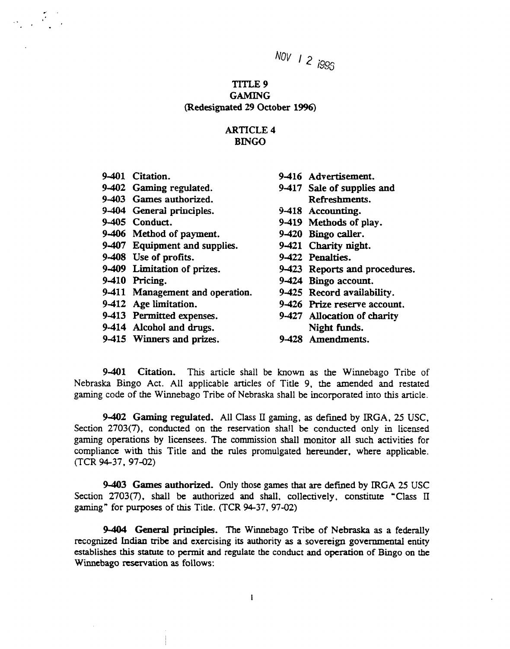**NOV** *\* **2** *i***995** 

# **TITLE 9 GAMING (Redesignated 29 October 1996)**

## **ARTICLE 4 BINGO**

|  | 9-401 Citation.                 | 9–416 Advertisement.          |
|--|---------------------------------|-------------------------------|
|  | 9-402 Gaming regulated.         | 9-417 Sale of supplies and    |
|  | 9-403 Games authorized.         | Refreshments.                 |
|  | 9-404 General principles.       | 9-418 Accounting.             |
|  | 9-405 Conduct.                  | 9-419 Methods of play.        |
|  | 9-406 Method of payment.        | 9-420 Bingo caller.           |
|  | 9-407 Equipment and supplies.   | 9-421 Charity night.          |
|  | 9-408 Use of profits.           | 9-422 Penalties.              |
|  | 9-409 Limitation of prizes.     | 9-423 Reports and procedures. |
|  | 9-410 Pricing.                  | 9-424 Bingo account.          |
|  | 9-411 Management and operation. | 9-425 Record availability.    |
|  | 9-412 Age limitation.           | 9-426 Prize reserve account.  |
|  | 9-413 Permitted expenses.       | 9-427 Allocation of charity   |
|  | 9-414 Alcohol and drugs.        | Night funds.                  |
|  |                                 |                               |

**9-415 Winners and prizes. 9-428 Amendments.**

**9-401 Citation. This article shall be known as the Winnebago Tribe of Nebraska Bingo Act. All applicable articles of Title 9, the amended and restated gaming code of the Winnebago Tribe of Nebraska shall be incorporated into this article.**

**9-402 Gaming regulated. All Class H gaming, as defined by IRGA, 25 USC, Section 2703(7), conducted on the reservation shall be conducted only in licensed gaming operations by licensees. The commission shall monitor all such activities for compliance with this Title and the rules promulgated hereunder, where applicable. (TCR 94-37, 97-02)**

**9-403 Games authorized. Only those games that are defined by IRGA <sup>25</sup> USC Section 2703(7), shall be authorized and shall, collectively, constitute Class II gaming for purposes of this Title. (TCR 94-37, 97-02)**

**9-404 General principles. The Winnebago Tribe of Nebraska as a federally recognized Indian tribe and exercising its authority as a sovereign governmental entity establishes this statute to permit and regulate the conduct and operation of Bingo on the Winnebago reservation as follows:**

 $\mathbf{I}$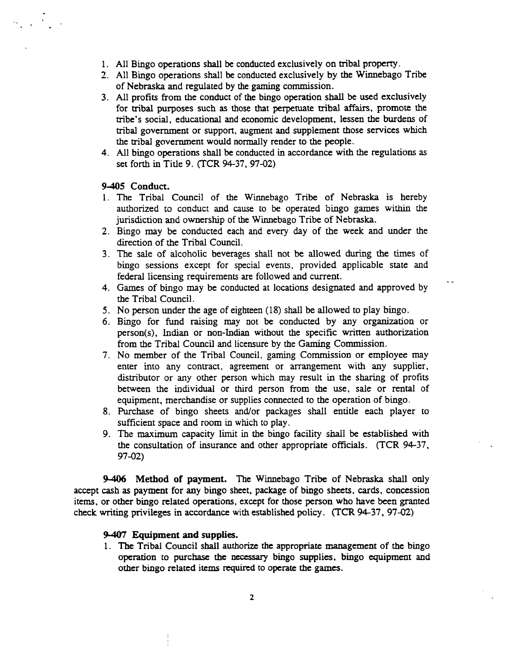- **1. All Bingo operations shall be conducted exclusively on tribal property.**
- **2. All Bingo operations shall be conducted exclusively by the Winnebago Tribe of Nebraska and regulated by the gaming commission.**
- **3. All profits from the conduct of the bingo operation shall be used exclusively for tribal purposes such as those that perpetuate tribal affairs, promote the**  $t$ ribe's social, educational and economic development, lessen the burdens of **tribal government or support, augment and supplement those services which the tribal government would normally render to the people.**
- **4. All bingo operations shall be conducted in accordance with the regulations as set forth in Title 9. (TCR 94-37, 97-02)**

# **9-405 Conduct.**

 $\mathcal{L}_{\text{max}} = \frac{1}{2} \sum_{i=1}^{2} \mathcal{L}_{\text{max}}$ 

- **1. The Tribal Council of the Winnebago Tribe of Nebraska is hereby authorized to conduct and cause to be operated bingo games within the jurisdiction and ownership of the Winnebago Tribe of Nebraska.**
- **2. Bingo may be conducted each and every day of the week and under the direction of the Tribal Council.**
- **3. The sale of alcoholic beverages shall not be allowed during the times of bingo sessions except for special events, provided applicable state and federal licensing requirements are followed and current.**
- **4. Games of bingo may be conducted at locations designated and approved by the Tribal Council.**
- **5. No person under the age of eighteen (18) shall be allowed to play bingo.**
- **6. Bingo for fund raising may not be conducted by any organization or person(s), Indian or non-Indian without the specific written authorization from the Tribal Council and licensure by the Gaming Commission.**
- **7. No member of the Tribal Council, gaming Commission or employee may enter into any contract, agreement or arrangement with any supplier, distributor or any other person which may result in the sharing of profits between the individual or third person from the use, sale or rental of equipment, merchandise or supplies connected to the operation of bingo.**
- **8. Purchase of bingo sheets andlor packages shall entitle each player to sufficient space and room in which to play.**
- **9. The maximum capacity limit in the bingo facility shall be established with the consultation of insurance and other appropriate officials. (TCR 94-37, 97-02)**

**9-406 Method of payment. The Winnebago Tribe of Nebraska shall only accept cash as payment for any bingo sheet, package of bingo sheets, cards, concession items, or other bingo related operations, except for those person who have been granted check writing privileges in accordance with established policy. (TCR 94-37, 97-02)**

#### **9-407 Equipment and supplies.**

**1. The Tribal Council shall authorize the appropriate management of the bingo operation to purchase the necessary bingo supplies, bingo equipment and other bingo related items required to operate the games.**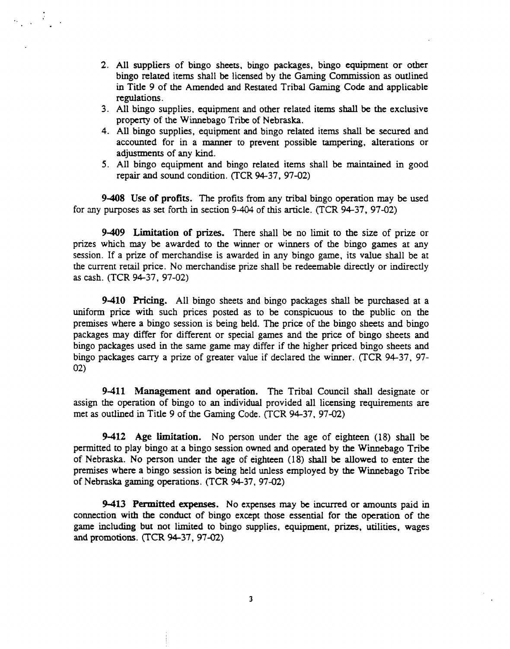**2. All suppliers of bingo sheets, bingo packages, bingo equipment or other bingo related items shall be licensed by the Gaining Commission as outlined in Tide <sup>9</sup> of the Amended and Restated Tribal Gaming Code and applicable regulations.**

 $\mathcal{L}_{\text{max}} = \mathcal{L}_{\text{max}}$ 

- **3. All bingo supplies, equipment and other related items shall be the exclusive property of the Winnebago Tribe of Nebraska.**
- **4. All bingo supplies, equipment and bingo related items shall be secured and accounted for in <sup>a</sup> manner to prevent possible tampering, alterations or adjustments of any kind.**
- **5. All bingo equipment and bingo related items shall be maintained in good repair and sound condition. (TCR 94-37, 97-02)**

**9-408 Use of profits. The profits from any tribal bingo operation may be used for any purposes as set forth in section 9-404 of this article. (TCR 94-37, 97-02)**

**9-409 Limitation of prizes. There shall be no limit to the size of prize or prizes which may be awarded to the winner or winners of the bingo games at any session. If <sup>a</sup> prize of merchandise is awarded in any bingo game, its value shall be at the current retail price. No merchandise prize shall be redeemable directly or indirectly as cash. (TCR 94-37, 97-02)**

**9-410 Pricing. All bingo sheets and bingo packages shall be purchased at <sup>a</sup> uniform price with such prices posted as to be conspicuous to the public on the premises where <sup>a</sup> bingo session is being held. The price of the bingo sheets and bingo packages may differ for different or special games and the price of bingo sheets and bingo packages used in the same game may differ if the higher priced bingo sheets and bingo packages carry <sup>a</sup> prize of greater value if declared the winner. (TCR 94-37, 97- 02)**

**9-411 Management and operation. The Tribal Council shall designate or assign the operation of bingo to an individual provided all licensing requirements are met as outlined in Title 9 of the Gaming Code. (TCR 94-37, 97-02)**

**9-412 Age limitation. No person under the age of eighteen (18) shall be permitted to play bingo at <sup>a</sup> bingo session owned and operated by the Winnebago Tribe of Nebraska. No person under the age of eighteen (18) shall be allowed to enter the premises where <sup>a</sup> bingo session is being held unless employed by the Winnebago Tribe of Nebraska gaining operations. (TCR 94-37, 97-02)**

**9-413 Permitted expenses. No expenses may be incurred or amounts paid in connection with the conduct of bingo except those essential for the operation of the game including but not limited to bingo supplies, equipment, prizes, utilities, wages and promotions. (TCR 94-37, 97-02)**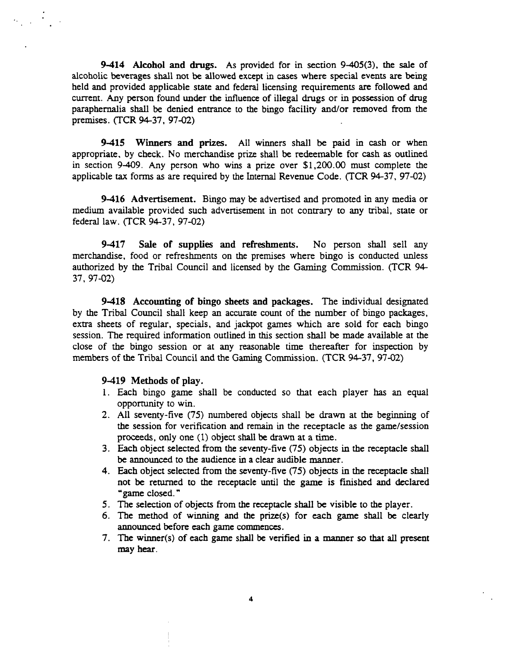**9-414 Alcohol and drugs. As provided for in section 9-405(3), the sale of alcoholic beverages shall not be allowed except in cases where special events are being held and provided applicable state and federal licensing requirements are followed and current. Any person found under the influence of illegal drugs or in possession of drug paraphernalia shall be denied entrance to the bingo facility andlor removed from the premises. (TCR 94-37, 97-02)**

**9-415 Winners and prizes. All winners shall be paid in cash or when appropriate, by check. No merchandise prize shall be redeemable for cash as outlined in section 9-409. Any person who wins <sup>a</sup> prize over \$1,200.00 must complete the applicable tax forms as are required by the Internal Revenue Code. (TCR 94-37, 97-02)**

**9-416 Advertisement. Bingo may be advertised and promoted in any media or medium available provided such advertisement in not contrary to any thbal, state or federal law. (TCR 94-37, 97-02)**

**9-417 Sale of supplies and refreshments. No person shall sell any merchandise, food or refreshments on the premises where bingo is conducted unless authorized by the Tribal Council and licensed by the Gaming Commission. (TCR 94- 37, 97-02)**

**9-418 Accounting of bingo sheets and packages. The individual designated by the Tribal Council shall keep an accurate count of the number of bingo packages, extra sheets of regular, specials, and jackpot games which are sold for each bingo session. The required information outlined in this section shall be made available at the close of the bingo session or at any reasonable time thereafter for inspection by members of the Tribal Council and the Gaming Commission. (TCR 94-37, 97-02)**

#### **9-419 Methods of play.**

 $\mathcal{L}_{\text{max}} = \frac{1}{2} \sum_{i=1}^{2} \frac{1}{i}$ 

- **1. Each bingo game shall be conducted so that each player has an equal opportunity to win.**
- **2. All seventy-five (75) numbered objects shall be drawn at the beginning of the session for verification and remain in the receptacle as the game/session proceeds, only one (1) object shall be drawn at a time.**
- **3. Each object selected from the seventy-five (75) objects in the receptacle shall be announced to the audience in a clear audible manner.**
- **4. Each object selected from the seventy-five (75) objects in the receptacle shall not be returned to the receptacle until the game is finished and declared game closed.**
- **5. The selection of objects from the receptacle shall be visible to the player.**
- **6. The method of winning and the prize(s) for each game shall be clearly announced before each game commences.**
- **7. The winner(s) of each game shall be verified in <sup>a</sup> manner so that all present may hear.**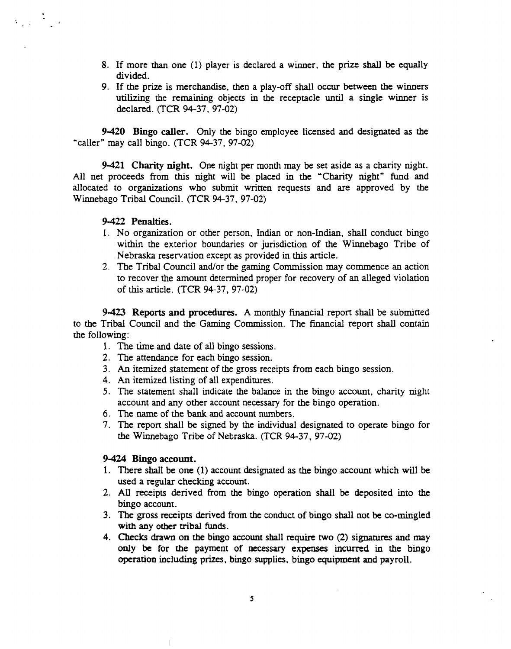- **8. If more than one (1) player is declared a winner, the prize shall be equally divided.**
- **9. If the prize is merchandise, then <sup>a</sup> play-off shall occur between the winners utilizing the remaining objects in the receptacle until a single winner is declared. (TCR 94-37, 97-02)**

**9-420 Bingo caller. Only the bingo employee licensed and designated as the caller may call bingo. (TCR 94-37, 97-02)**

**9-421 Charity night. One night per month may be set aside as <sup>a</sup> charity night. All net proceeds from this night will be placed in the Charity night fund and** allocated to organizations who submit written requests and are approved by the **Winnebago Tribal Council. (TCR 94-37, 97-02)**

#### **9-422 Penalties.**

 $\mathcal{L}_{\text{max}} = \frac{1}{2} \sum_{i=1}^{n} \mathcal{L}_{\text{max}}$ 

- **1. No organization or other person. Indian or non-Indian, shall conduct bingo within the exterior boundaries or jurisdiction of the Winnebago Tribe of Nebraska reservation except as provided in this article.**
- **2. The Tribal Council andlor the gaming Commission may commence an action to recover the amount determined proper for recovery of an alleged violation of this article. (TCR 94-37, 97-02)**

**9-423 Reports and procedures. A monthly financial report shall be submitted to the Tribal Council and the Gaming Commission. The financial report shall contain the following:**

- **1. The time and date of all bingo sessions.**
- **2. The attendance for each bingo session.**
- **3. An itemized statement of the gross receipts from each bingo session.**
- **4. An itemized listing of all expenditures.**
- **5. The statement shall indicate the balance in the bingo account, charity night account and any other account necessary for the bingo operation.**
- **6. The name of the bank and account numbers.**
- **7. The report shall be signed by the individual designated to operate bingo for the Winnebago Tribe of Nebraska. (TCR 94-37, 97-02)**

### **9-424 Bingo account.**

 $\overline{a}$ 

- **I. There shall be one (1) account designated as the bingo account which will be used a regular checking account.**
- **2. All receipts derived from the bingo operation shall be deposited into the bingo account.**
- **3. The gross receipts derived from the conduct of bingo shall not be co-mingled with any other tribal funds.**
- **4. Checks drawn on the bingo account shall require two (2) signatures and may only be for the payment of necessary expenses incurred in the bingo operation including prizes, bingo supplies, bingo equipment and payroll.**